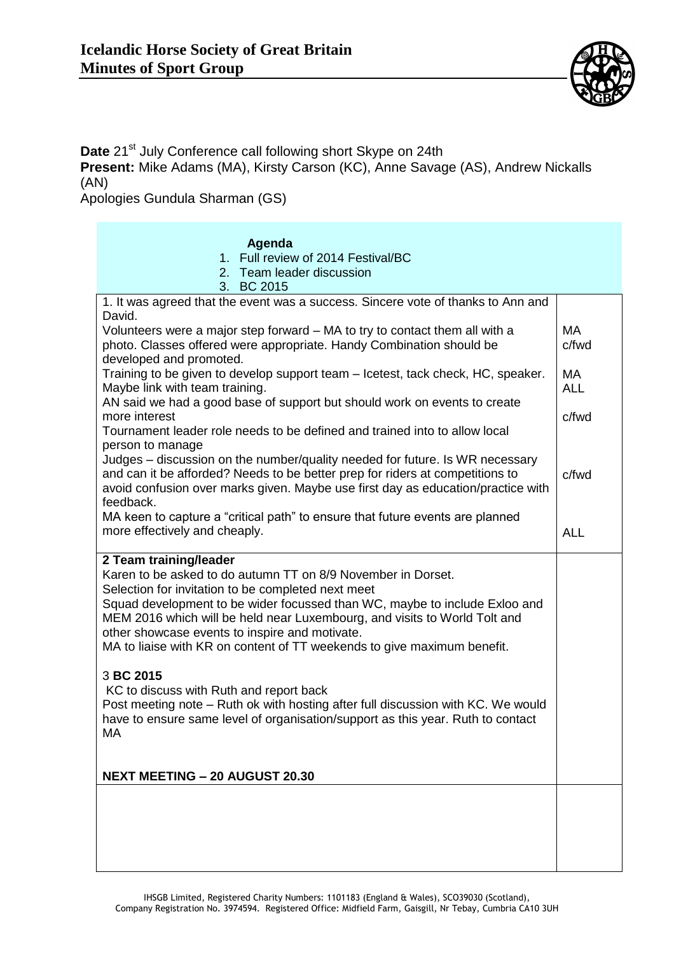

Date 21<sup>st</sup> July Conference call following short Skype on 24th

**Present:** Mike Adams (MA), Kirsty Carson (KC), Anne Savage (AS), Andrew Nickalls (AN)

Apologies Gundula Sharman (GS)

## **Agenda**

- 1. Full review of 2014 Festival/BC
- 2. Team leader discussion
- 3. BC 2015

| 1. It was agreed that the event was a success. Sincere vote of thanks to Ann and<br>David.                                                                                                                                                                     |            |
|----------------------------------------------------------------------------------------------------------------------------------------------------------------------------------------------------------------------------------------------------------------|------------|
| Volunteers were a major step forward – MA to try to contact them all with a                                                                                                                                                                                    | MA         |
| photo. Classes offered were appropriate. Handy Combination should be<br>developed and promoted.                                                                                                                                                                | c/fwd      |
| Training to be given to develop support team – Icetest, tack check, HC, speaker.                                                                                                                                                                               | MA         |
| Maybe link with team training.<br>AN said we had a good base of support but should work on events to create                                                                                                                                                    | <b>ALL</b> |
| more interest                                                                                                                                                                                                                                                  | c/fwd      |
| Tournament leader role needs to be defined and trained into to allow local<br>person to manage                                                                                                                                                                 |            |
| Judges - discussion on the number/quality needed for future. Is WR necessary<br>and can it be afforded? Needs to be better prep for riders at competitions to<br>avoid confusion over marks given. Maybe use first day as education/practice with<br>feedback. | c/fwd      |
| MA keen to capture a "critical path" to ensure that future events are planned<br>more effectively and cheaply.                                                                                                                                                 | <b>ALL</b> |
| 2 Team training/leader<br>Karen to be asked to do autumn TT on 8/9 November in Dorset.                                                                                                                                                                         |            |
| Selection for invitation to be completed next meet                                                                                                                                                                                                             |            |
| Squad development to be wider focussed than WC, maybe to include Exloo and<br>MEM 2016 which will be held near Luxembourg, and visits to World Tolt and                                                                                                        |            |
| other showcase events to inspire and motivate.                                                                                                                                                                                                                 |            |
| MA to liaise with KR on content of TT weekends to give maximum benefit.                                                                                                                                                                                        |            |
| 3 BC 2015                                                                                                                                                                                                                                                      |            |
| KC to discuss with Ruth and report back<br>Post meeting note - Ruth ok with hosting after full discussion with KC. We would                                                                                                                                    |            |
| have to ensure same level of organisation/support as this year. Ruth to contact                                                                                                                                                                                |            |
| MA                                                                                                                                                                                                                                                             |            |
|                                                                                                                                                                                                                                                                |            |
| <b>NEXT MEETING - 20 AUGUST 20.30</b>                                                                                                                                                                                                                          |            |
|                                                                                                                                                                                                                                                                |            |
|                                                                                                                                                                                                                                                                |            |
|                                                                                                                                                                                                                                                                |            |
|                                                                                                                                                                                                                                                                |            |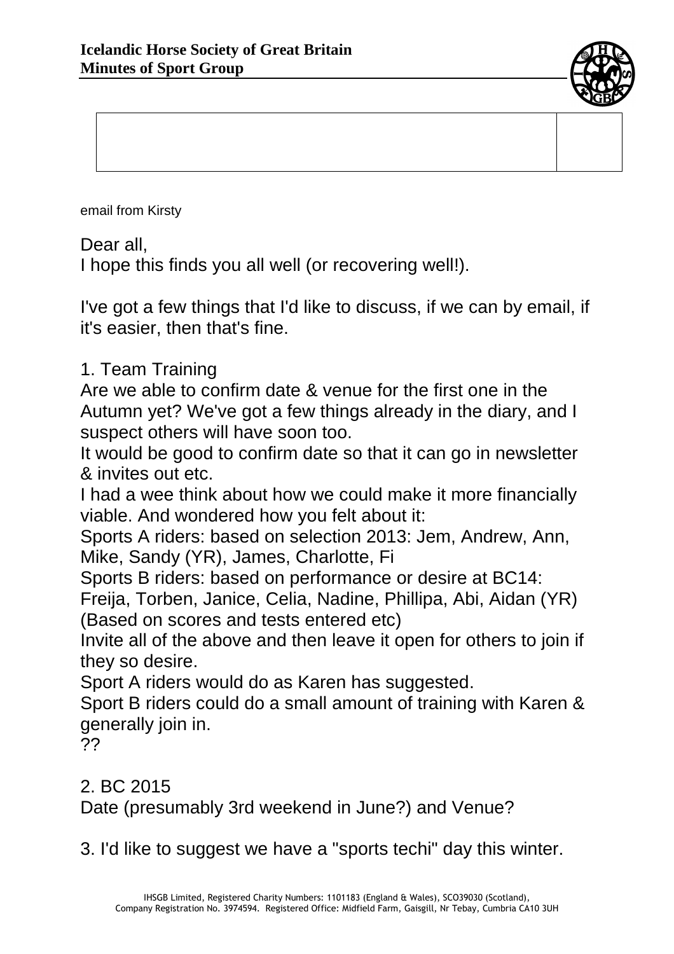

email from Kirsty

Dear all,

I hope this finds you all well (or recovering well!).

I've got a few things that I'd like to discuss, if we can by email, if it's easier, then that's fine.

## 1. Team Training

Are we able to confirm date & venue for the first one in the Autumn yet? We've got a few things already in the diary, and I suspect others will have soon too.

It would be good to confirm date so that it can go in newsletter & invites out etc.

I had a wee think about how we could make it more financially viable. And wondered how you felt about it:

Sports A riders: based on selection 2013: Jem, Andrew, Ann, Mike, Sandy (YR), James, Charlotte, Fi

Sports B riders: based on performance or desire at BC14:

Freija, Torben, Janice, Celia, Nadine, Phillipa, Abi, Aidan (YR) (Based on scores and tests entered etc)

Invite all of the above and then leave it open for others to join if they so desire.

Sport A riders would do as Karen has suggested.

Sport B riders could do a small amount of training with Karen & generally join in.

??

2. BC 2015 Date (presumably 3rd weekend in June?) and Venue?

3. I'd like to suggest we have a "sports techi" day this winter.